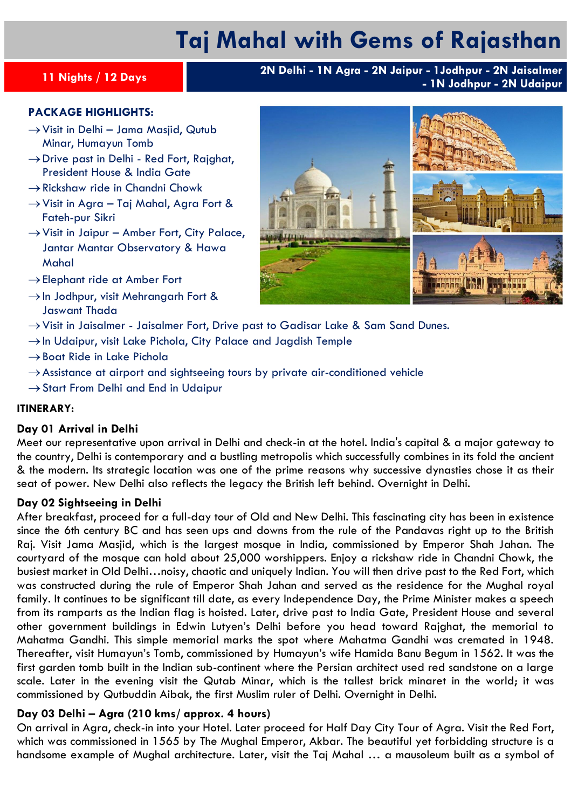# **Taj Mahal with Gems of Rajasthan**

**<sup>11</sup> Nights / 12 Days 2N Delhi - 1N Agra - 2N Jaipur - 1Jodhpur - 2N Jaisalmer - 1N Jodhpur - 2N Udaipur**

### **PACKAGE HIGHLIGHTS:**

- $\rightarrow$  Visit in Delhi Jama Masjid, Qutub Minar, Humayun Tomb
- $\rightarrow$  Drive past in Delhi Red Fort, Rajghat, President House & India Gate
- $\rightarrow$  Rickshaw ride in Chandni Chowk
- $\rightarrow$  Visit in Agra Taj Mahal, Agra Fort & Fateh-pur Sikri
- $\rightarrow$  Visit in Jaipur Amber Fort, City Palace, Jantar Mantar Observatory & Hawa Mahal
- $\rightarrow$  Elephant ride at Amber Fort
- $\rightarrow$  In Jodhpur, visit Mehrangarh Fort & Jaswant Thada
- →Visit in Jaisalmer Jaisalmer Fort, Drive past to Gadisar Lake & Sam Sand Dunes.
- $\rightarrow$ In Udaipur, visit Lake Pichola, City Palace and Jagdish Temple
- $\rightarrow$  Boat Ride in Lake Pichola
- $\rightarrow$  Assistance at airport and sightseeing tours by private air-conditioned vehicle
- $\rightarrow$  Start From Delhi and End in Udaipur

#### **ITINERARY:**

#### **Day 01 Arrival in Delhi**

Meet our representative upon arrival in Delhi and check-in at the hotel. India's capital & a major gateway to the country, Delhi is contemporary and a bustling metropolis which successfully combines in its fold the ancient & the modern. Its strategic location was one of the prime reasons why successive dynasties chose it as their seat of power. New Delhi also reflects the legacy the British left behind. Overnight in Delhi.

#### **Day 02 Sightseeing in Delhi**

After breakfast, proceed for a full-day tour of Old and New Delhi. This fascinating city has been in existence since the 6th century BC and has seen ups and downs from the rule of the Pandavas right up to the British Raj. Visit Jama Masjid, which is the largest mosque in India, commissioned by Emperor Shah Jahan. The courtyard of the mosque can hold about 25,000 worshippers. Enjoy a rickshaw ride in Chandni Chowk, the busiest market in Old Delhi…noisy, chaotic and uniquely Indian. You will then drive past to the Red Fort, which was constructed during the rule of Emperor Shah Jahan and served as the residence for the Mughal royal family. It continues to be significant till date, as every Independence Day, the Prime Minister makes a speech from its ramparts as the Indian flag is hoisted. Later, drive past to India Gate, President House and several other government buildings in Edwin Lutyen's Delhi before you head toward Rajghat, the memorial to Mahatma Gandhi. This simple memorial marks the spot where Mahatma Gandhi was cremated in 1948. Thereafter, visit Humayun's Tomb, commissioned by Humayun's wife Hamida Banu Begum in 1562. It was the first garden tomb built in the Indian sub-continent where the Persian architect used red sandstone on a large scale. Later in the evening visit the Qutab Minar, which is the tallest brick minaret in the world; it was commissioned by Qutbuddin Aibak, the first Muslim ruler of Delhi. Overnight in Delhi.

#### **Day 03 Delhi – Agra (210 kms/ approx. 4 hours)**

On arrival in Agra, check-in into your Hotel. Later proceed for Half Day City Tour of Agra. Visit the Red Fort, which was commissioned in 1565 by The Mughal Emperor, Akbar. The beautiful yet forbidding structure is a handsome example of Mughal architecture. Later, visit the Taj Mahal ... a mausoleum built as a symbol of

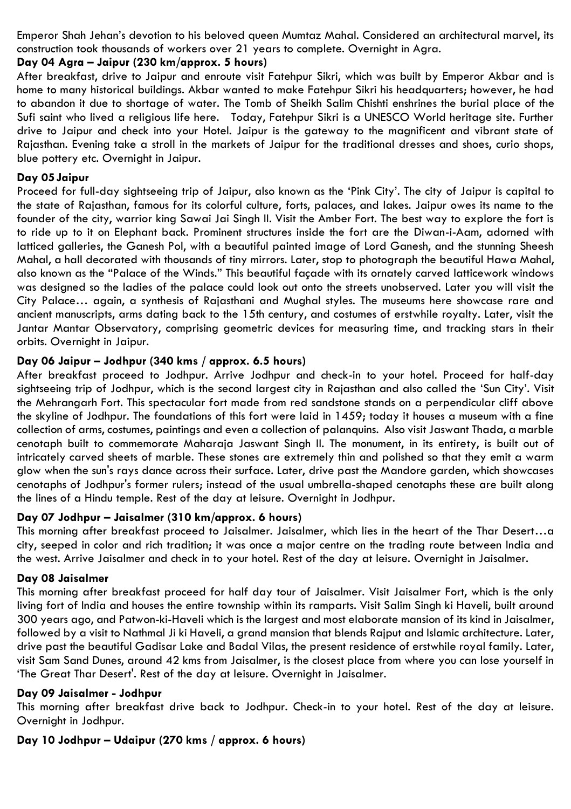Emperor Shah Jehan's devotion to his beloved queen Mumtaz Mahal. Considered an architectural marvel, its construction took thousands of workers over 21 years to complete. Overnight in Agra.

# **Day 04 Agra – Jaipur (230 km/approx. 5 hours)**

After breakfast, drive to Jaipur and enroute visit Fatehpur Sikri, which was built by Emperor Akbar and is home to many historical buildings. Akbar wanted to make Fatehpur Sikri his headquarters; however, he had to abandon it due to shortage of water. The Tomb of Sheikh Salim Chishti enshrines the burial place of the Sufi saint who lived a religious life here. Today, Fatehpur Sikri is a UNESCO World heritage site. Further drive to Jaipur and check into your Hotel. Jaipur is the gateway to the magnificent and vibrant state of Rajasthan. Evening take a stroll in the markets of Jaipur for the traditional dresses and shoes, curio shops, blue pottery etc. Overnight in Jaipur.

# **Day 05Jaipur**

Proceed for full-day sightseeing trip of Jaipur, also known as the 'Pink City'. The city of Jaipur is capital to the state of Rajasthan, famous for its colorful culture, forts, palaces, and lakes. Jaipur owes its name to the founder of the city, warrior king Sawai Jai Singh II. Visit the Amber Fort. The best way to explore the fort is to ride up to it on Elephant back. Prominent structures inside the fort are the Diwan-i-Aam, adorned with latticed galleries, the Ganesh Pol, with a beautiful painted image of Lord Ganesh, and the stunning Sheesh Mahal, a hall decorated with thousands of tiny mirrors. Later, stop to photograph the beautiful Hawa Mahal, also known as the "Palace of the Winds." This beautiful façade with its ornately carved latticework windows was designed so the ladies of the palace could look out onto the streets unobserved. Later you will visit the City Palace… again, a synthesis of Rajasthani and Mughal styles. The museums here showcase rare and ancient manuscripts, arms dating back to the 15th century, and costumes of erstwhile royalty. Later, visit the Jantar Mantar Observatory, comprising geometric devices for measuring time, and tracking stars in their orbits. Overnight in Jaipur.

# **Day 06 Jaipur – Jodhpur (340 kms / approx. 6.5 hours)**

After breakfast proceed to Jodhpur. Arrive Jodhpur and check-in to your hotel. Proceed for half-day sightseeing trip of Jodhpur, which is the second largest city in Rajasthan and also called the 'Sun City'. Visit the Mehrangarh Fort. This spectacular fort made from red sandstone stands on a perpendicular cliff above the skyline of Jodhpur. The foundations of this fort were laid in 1459; today it houses a museum with a fine collection of arms, costumes, paintings and even a collection of palanquins. Also visit Jaswant Thada, a marble cenotaph built to commemorate Maharaja Jaswant Singh II. The monument, in its entirety, is built out of intricately carved sheets of marble. These stones are extremely thin and polished so that they emit a warm glow when the sun's rays dance across their surface. Later, drive past the Mandore garden, which showcases cenotaphs of Jodhpur's former rulers; instead of the usual umbrella-shaped cenotaphs these are built along the lines of a Hindu temple. Rest of the day at leisure. Overnight in Jodhpur.

# **Day 07 Jodhpur – Jaisalmer (310 km/approx. 6 hours)**

This morning after breakfast proceed to Jaisalmer. Jaisalmer, which lies in the heart of the Thar Desert…a city, seeped in color and rich tradition; it was once a major centre on the trading route between India and the west. Arrive Jaisalmer and check in to your hotel. Rest of the day at leisure. Overnight in Jaisalmer.

#### **Day 08 Jaisalmer**

This morning after breakfast proceed for half day tour of Jaisalmer. Visit Jaisalmer Fort, which is the only living fort of India and houses the entire township within its ramparts. Visit Salim Singh ki Haveli, built around 300 years ago, and Patwon-ki-Haveli which is the largest and most elaborate mansion of its kind in Jaisalmer, followed by a visit to Nathmal Ji ki Haveli, a grand mansion that blends Rajput and Islamic architecture. Later, drive past the beautiful Gadisar Lake and Badal Vilas, the present residence of erstwhile royal family. Later, visit Sam Sand Dunes, around 42 kms from Jaisalmer, is the closest place from where you can lose yourself in 'The Great Thar Desert'. Rest of the day at leisure. Overnight in Jaisalmer.

#### **Day 09 Jaisalmer - Jodhpur**

This morning after breakfast drive back to Jodhpur. Check-in to your hotel. Rest of the day at leisure. Overnight in Jodhpur.

# **Day 10 Jodhpur – Udaipur (270 kms / approx. 6 hours)**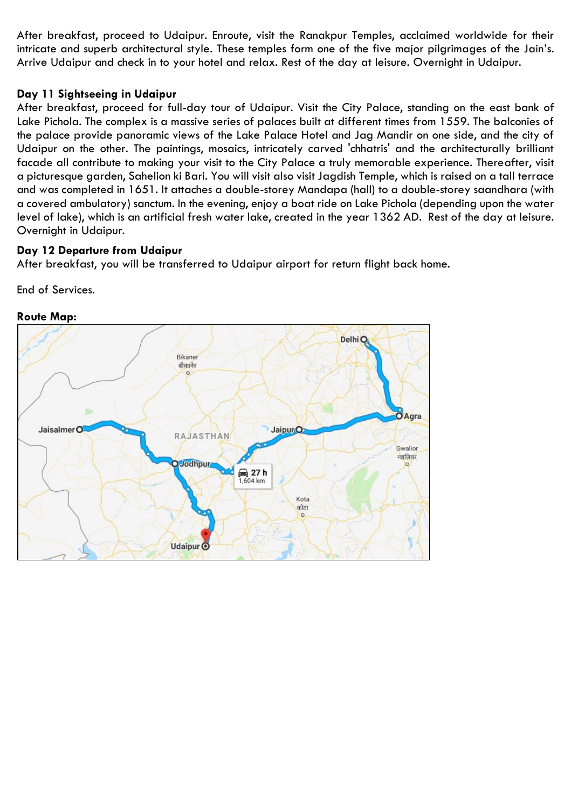After breakfast, proceed to Udaipur. Enroute, visit the Ranakpur Temples, acclaimed worldwide for their intricate and superb architectural style. These temples form one of the five major pilgrimages of the Jain's. Arrive Udaipur and check in to your hotel and relax. Rest of the day at leisure. Overnight in Udaipur.

# **Day 11 Sightseeing in Udaipur**

After breakfast, proceed for full-day tour of Udaipur. Visit the City Palace, standing on the east bank of Lake Pichola. The complex is a massive series of palaces built at different times from 1559. The balconies of the palace provide panoramic views of the Lake Palace Hotel and Jag Mandir on one side, and the city of Udaipur on the other. The paintings, mosaics, intricately carved 'chhatris' and the architecturally brilliant facade all contribute to making your visit to the City Palace a truly memorable experience. Thereafter, visit a picturesque garden, Sahelion ki Bari. You will visit also visit Jagdish Temple, which is raised on a tall terrace and was completed in 1651. It attaches a double-storey Mandapa (hall) to a double-storey saandhara (with a covered ambulatory) sanctum. In the evening, enjoy a boat ride on Lake Pichola (depending upon the water level of lake), which is an artificial fresh water lake, created in the year 1362 AD. Rest of the day at leisure. Overnight in Udaipur.

# **Day 12 Departure from Udaipur**

After breakfast, you will be transferred to Udaipur airport for return flight back home.

End of Services.



# **Route Map:**